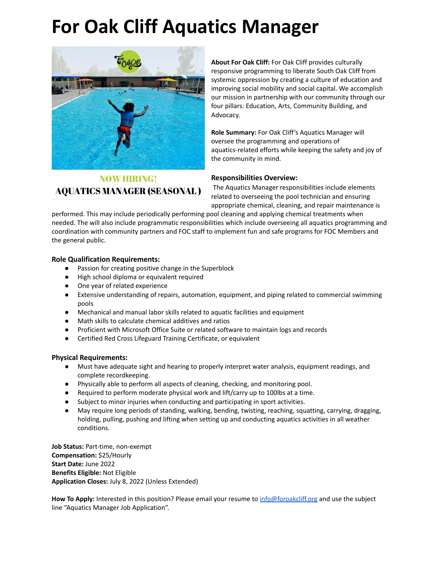### **For Oak Cliff Aquatics Manager**



**NOW HIRING! AQUATICS MANAGER (SEASONAL )** 

**About For Oak Cliff:** For Oak Cliff provides culturally responsive programming to liberate South Oak Cliff from systemic oppression by creating a culture of education and improving social mobility and social capital. We accomplish our mission in partnership with our community through our four pillars: Education, Arts, Community Building, and Advocacy.

**Role Summary:** For Oak Cliff's Aquatics Manager will oversee the programming and operations of aquatics-related efforts while keeping the safety and joy of the community in mind.

### **Responsibilities Overview:**

The Aquatics Manager responsibilities include elements related to overseeing the pool technician and ensuring appropriate chemical, cleaning, and repair maintenance is

performed. This may include periodically performing pool cleaning and applying chemical treatments when needed. The will also include programmatic responsibilities which include overseeing all aquatics programming and coordination with community partners and FOC staff to implement fun and safe programs for FOC Members and the general public.

### **Role Qualification Requirements:**

- Passion for creating positive change in the Superblock
- High school diploma or equivalent required
- One year of related experience
- Extensive understanding of repairs, automation, equipment, and piping related to commercial swimming pools
- Mechanical and manual labor skills related to aquatic facilities and equipment
- Math skills to calculate chemical additives and ratios
- Proficient with Microsoft Office Suite or related software to maintain logs and records
- Certified Red Cross Lifeguard Training Certificate, or equivalent

### **Physical Requirements:**

- Must have adequate sight and hearing to properly interpret water analysis, equipment readings, and complete recordkeeping.
- Physically able to perform all aspects of cleaning, checking, and monitoring pool.
- Required to perform moderate physical work and lift/carry up to 100lbs at a time.
- Subject to minor injuries when conducting and participating in sport activities.
- May require long periods of standing, walking, bending, twisting, reaching, squatting, carrying, dragging, holding, pulling, pushing and lifting when setting up and conducting aquatics activities in all weather conditions.

**Job Status:** Part-time, non-exempt **Compensation:** \$25/Hourly **Start Date:** June 2022 **Benefits Eligible:** Not Eligible **Application Closes:** July 8, 2022 (Unless Extended)

**How To Apply:** Interested in this position? Please email your resume to [info@foroakcliff.org](mailto:info@foroakcliff.org) and use the subject line "Aquatics Manager Job Application".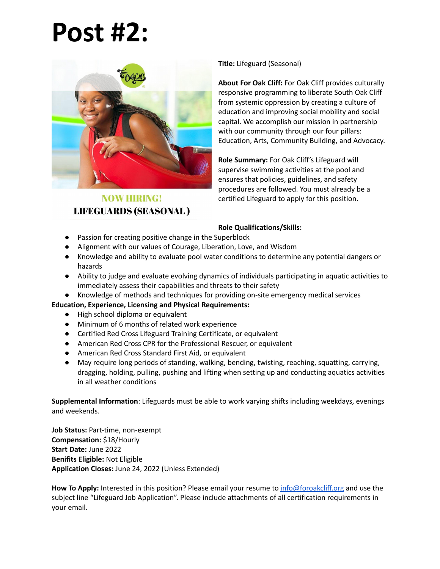## **Post #2:**



### **NOW HIRING! LIFEGUARDS (SEASONAL)**

**Title:** Lifeguard (Seasonal)

**About For Oak Cliff:** For Oak Cliff provides culturally responsive programming to liberate South Oak Cliff from systemic oppression by creating a culture of education and improving social mobility and social capital. We accomplish our mission in partnership with our community through our four pillars: Education, Arts, Community Building, and Advocacy.

**Role Summary:** For Oak Cliff's Lifeguard will supervise swimming activities at the pool and ensures that policies, guidelines, and safety procedures are followed. You must already be a certified Lifeguard to apply for this position.

### **Role Qualifications/Skills:**

- Passion for creating positive change in the Superblock
- Alignment with our values of Courage, Liberation, Love, and Wisdom
- Knowledge and ability to evaluate pool water conditions to determine any potential dangers or hazards
- Ability to judge and evaluate evolving dynamics of individuals participating in aquatic activities to immediately assess their capabilities and threats to their safety
- Knowledge of methods and techniques for providing on-site emergency medical services

### **Education, Experience, Licensing and Physical Requirements:**

- High school diploma or equivalent
- Minimum of 6 months of related work experience
- Certified Red Cross Lifeguard Training Certificate, or equivalent
- American Red Cross CPR for the Professional Rescuer, or equivalent
- American Red Cross Standard First Aid, or equivalent
- May require long periods of standing, walking, bending, twisting, reaching, squatting, carrying, dragging, holding, pulling, pushing and lifting when setting up and conducting aquatics activities in all weather conditions

**Supplemental Information**: Lifeguards must be able to work varying shifts including weekdays, evenings and weekends.

**Job Status:** Part-time, non-exempt **Compensation:** \$18/Hourly **Start Date:** June 2022 **Benifits Eligible:** Not Eligible **Application Closes:** June 24, 2022 (Unless Extended)

**How To Apply:** Interested in this position? Please email your resume to [info@foroakcliff.org](mailto:info@foroakcliff.org) and use the subject line "Lifeguard Job Application". Please include attachments of all certification requirements in your email.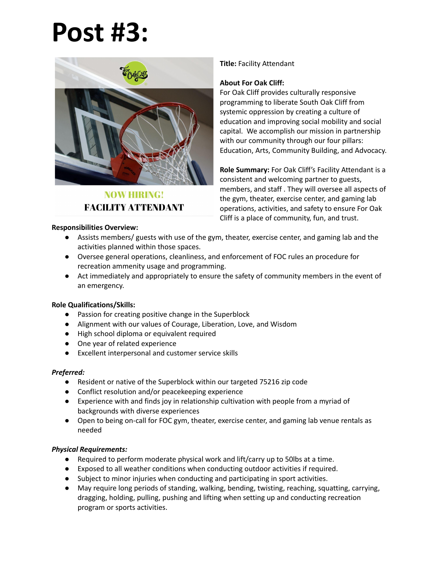# **Post #3:**



**NOW HIRING! FACILITY ATTENDANT** 

#### **Responsibilities Overview:**

### **Title:** Facility Attendant

### **About For Oak Cliff:**

For Oak Cliff provides culturally responsive programming to liberate South Oak Cliff from systemic oppression by creating a culture of education and improving social mobility and social capital. We accomplish our mission in partnership with our community through our four pillars: Education, Arts, Community Building, and Advocacy.

**Role Summary:** For Oak Cliff's Facility Attendant is a consistent and welcoming partner to guests, members, and staff . They will oversee all aspects of the gym, theater, exercise center, and gaming lab operations, activities, and safety to ensure For Oak Cliff is a place of community, fun, and trust.

- Assists members/ guests with use of the gym, theater, exercise center, and gaming lab and the activities planned within those spaces.
- Oversee general operations, cleanliness, and enforcement of FOC rules an procedure for recreation ammenity usage and programming.
- Act immediately and appropriately to ensure the safety of community members in the event of an emergency.

### **Role Qualifications/Skills:**

- Passion for creating positive change in the Superblock
- Alignment with our values of Courage, Liberation, Love, and Wisdom
- High school diploma or equivalent required
- One year of related experience
- Excellent interpersonal and customer service skills

### *Preferred:*

- Resident or native of the Superblock within our targeted 75216 zip code
- Conflict resolution and/or peacekeeping experience
- Experience with and finds joy in relationship cultivation with people from a myriad of backgrounds with diverse experiences
- Open to being on-call for FOC gym, theater, exercise center, and gaming lab venue rentals as needed

### *Physical Requirements:*

- Required to perform moderate physical work and lift/carry up to 50lbs at a time.
- Exposed to all weather conditions when conducting outdoor activities if required.
- Subject to minor injuries when conducting and participating in sport activities.
- May require long periods of standing, walking, bending, twisting, reaching, squatting, carrying, dragging, holding, pulling, pushing and lifting when setting up and conducting recreation program or sports activities.